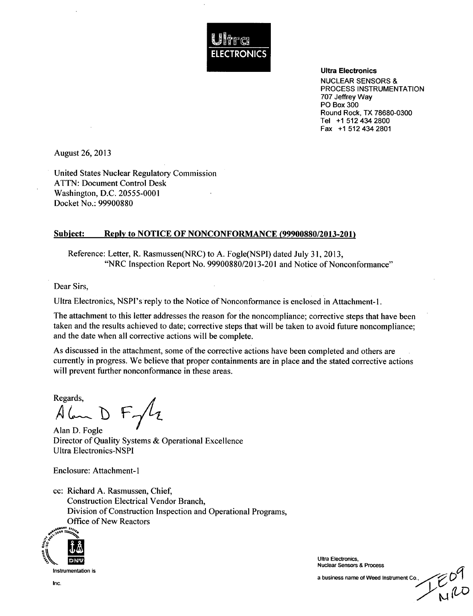

Ultra Electronics

NUCLEAR SENSORS & PROCESS INSTRUMENTATION 707 Jeffrey Way PO Box 300 Round Rock, TX 78680-0300 Tel +1 512 434 2800 Fax +1 512 434 2801

August 26, 2013

United States Nuclear Regulatory Commission ATTN: Document Control Desk Washington, D.C. 20555-0001 Docket No.: 99900880

#### Subject: Reply to **NOTICE** OF **NONCONFORMANCE (99900880/2013-201)**

Reference: Letter, R. Rasmussen(NRC) to A. Fogle(NSPI) dated July 31, 2013, "NRC Inspection Report No. 99900880/2013-201 and Notice of Nonconformance"

Dear Sirs,

Ultra Electronics, NSPI's reply to the Notice of Nonconformance is enclosed in Attachment-1.

The attachment to this letter addresses the reason for the noncompliance; corrective steps that have been taken and the results achieved to date; corrective steps that will be taken to avoid future noncompliance; and the date when all corrective actions will be complete.

As discussed in the attachment, some of the corrective actions have been completed and others are currently in progress. We believe that proper containments are in place and the stated corrective actions will prevent further nonconformance in these areas.

Regards,<br> $\oint \phi$  $F<sub>1</sub>/l<sub>2</sub>$ 

Alan D. Fogle Director of Quality Systems & Operational Excellence Ultra Electronics-NSPI

Enclosure: Attachment- I

cc: Richard A. Rasmussen, Chief, Construction Electrical Vendor Branch, Division of Construction Inspection and Operational Programs, Office of New Reactors



Instrumentation is

Ultra Electronics, Nuclear Sensors & Process

a business name of Weed Instrument Co.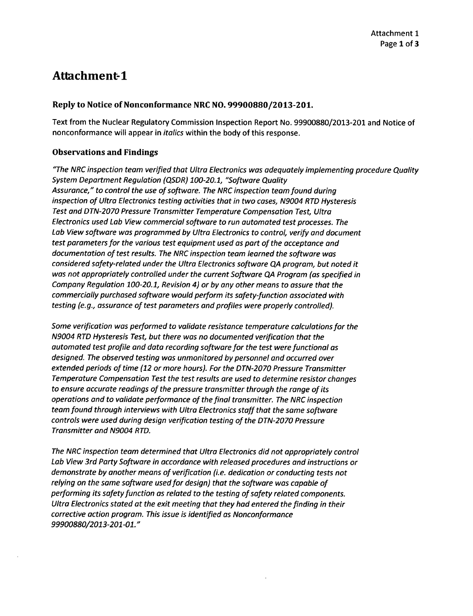# Attachment-1

#### Reply to Notice of Nonconformance NRC **NO. 99900880/2013-201.**

Text from the Nuclear Regulatory Commission Inspection Report No. 99900880/2013-201 and Notice of nonconformance will appear in *italics* within the body of this response.

### Observations and Findings

*"The NRC inspection team verified that Ultra Electronics was adequately implementing procedure Quality System Department Regulation (QSDR) 100-20.1, "Software Quality Assurance," to control the use of software. The NRC inspection team found during inspection of Ultra Electronics testing activities that in two cases, N9004 RTD Hysteresis Test and DTN-2070 Pressure Transmitter Temperature Compensation Test, Ultra Electronics used Lab View commercial software to run automated test processes. The Lab View software was programmed by Ultra Electronics to control, verify and document test parameters for the various test equipment used as part of the acceptance and documentation of test results. The NRC inspection team learned the software was considered safety-related under the Ultra Electronics software QA program, but noted it was not appropriately controlled under the current Software QA Program (as specified in Company Regulation 100-20.1, Revision 4) or by any other means to assure that the commercially purchased software would perform its safety-function associated with testing (e.g., assurance of test parameters and profiles were properly controlled).*

*Some verification was performed to validate resistance temperature calculations for the N9004 RTD Hysteresis Test, but there was no documented verification that the automated test profile and data recording software for the test were functional as designed. The observed testing was unmonitored by personnel and occurred over extended periods of time (12 or more hours). For the DTN-2070 Pressure Transmitter Temperature Compensation Test the test results are used to determine resistor changes to ensure accurate readings of the pressure transmitter through the range of its operations and to validate performance of the final transmitter. The NRC inspection team found through interviews with Ultra Electronics staff that the same software controls were used during design verification testing of the DTN-2070 Pressure Transmitter and N9004 RTD.*

*The NRC inspection team determined that Ultra Electronics did not appropriately control Lab View 3rd Party Software in accordance with released procedures and instructions or demonstrate by another means of verification (i.e. dedication or conducting tests not relying on the same software used for design) that the software was capable of performing its safety function as related to the testing of safety related components. Ultra Electronics stated at the exit meeting that they had entered the finding in their corrective action program. This issue is identified as Nonconformance 99900880/2013-201-01."*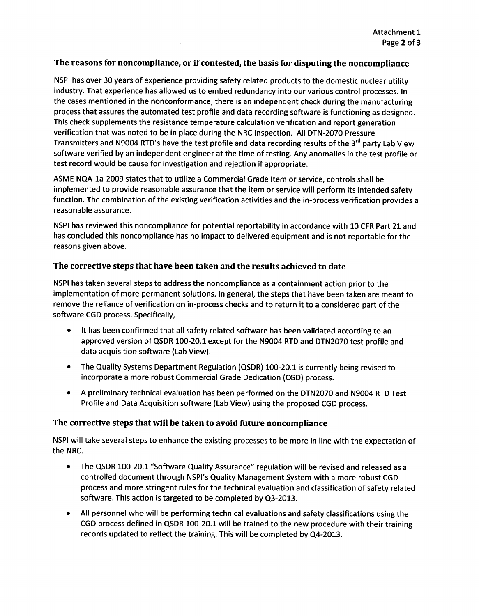## The reasons for noncompliance, or if contested, the basis for disputing the noncompliance

NSPI has over 30 years of experience providing safety related products to the domestic nuclear utility industry. That experience has allowed us to embed redundancy into our various control processes. In the cases mentioned in the nonconformance, there is an independent check during the manufacturing process that assures the automated test profile and data recording software is functioning as designed. This check supplements the resistance temperature calculation verification and report generation verification that was noted to be in place during the NRC Inspection. All DTN-2070 Pressure Transmitters and N9004 RTD's have the test profile and data recording results of the  $3<sup>rd</sup>$  party Lab View software verified by an independent engineer at the time of testing. Any anomalies in the test profile or test record would be cause for investigation and rejection if appropriate.

ASME NQA-la-2009 states that to utilize a Commercial Grade Item or service, controls shall be implemented to provide reasonable assurance that the item or service will perform its intended safety function. The combination of the existing verification activities and the in-process verification provides a reasonable assurance.

NSPI has reviewed this noncompliance for potential reportability in accordance with 10 CFR Part 21 and has concluded this noncompliance has no impact to delivered equipment and is not reportable for the reasons given above.

# The corrective steps that have been taken and the results achieved to date

NSPI has taken several steps to address the noncompliance as a containment action prior to the implementation of more permanent solutions. In general, the steps that have been taken are meant to remove the reliance of verification on in-process checks and to return it to a considered part of the software CGD process. Specifically,

- **"** It has been confirmed that all safety related software has been validated according to an approved version of QSDR 100-20.1 except for the N9004 RTD and DTN2070 test profile and data acquisition software (Lab View).
- \* The Quality Systems Department Regulation (QSDR) 100-20.1 is currently being revised to incorporate a more robust Commercial Grade Dedication (CGD) process.
- \* A preliminary technical evaluation has been performed on the DTN2070 and N9004 RTD Test Profile and Data Acquisition software (Lab View) using the proposed CGD process.

# The corrective steps that will be taken to avoid future noncompliance

NSPI will take several steps to enhance the existing processes to be more in line with the expectation of the NRC.

- \* The QSDR 100-20.1 "Software Quality Assurance" regulation will be revised and released as a controlled document through NSPI's Quality Management System with a more robust CGD process and more stringent rules for the technical evaluation and classification of safety related software. This action is targeted to be completed by Q3-2013.
- \* All personnel who will be performing technical evaluations and safety classifications using the CGD process defined in QSDR 100-20.1 will be trained to the new procedure with their training records updated to reflect the training. This will be completed by Q4-2013.